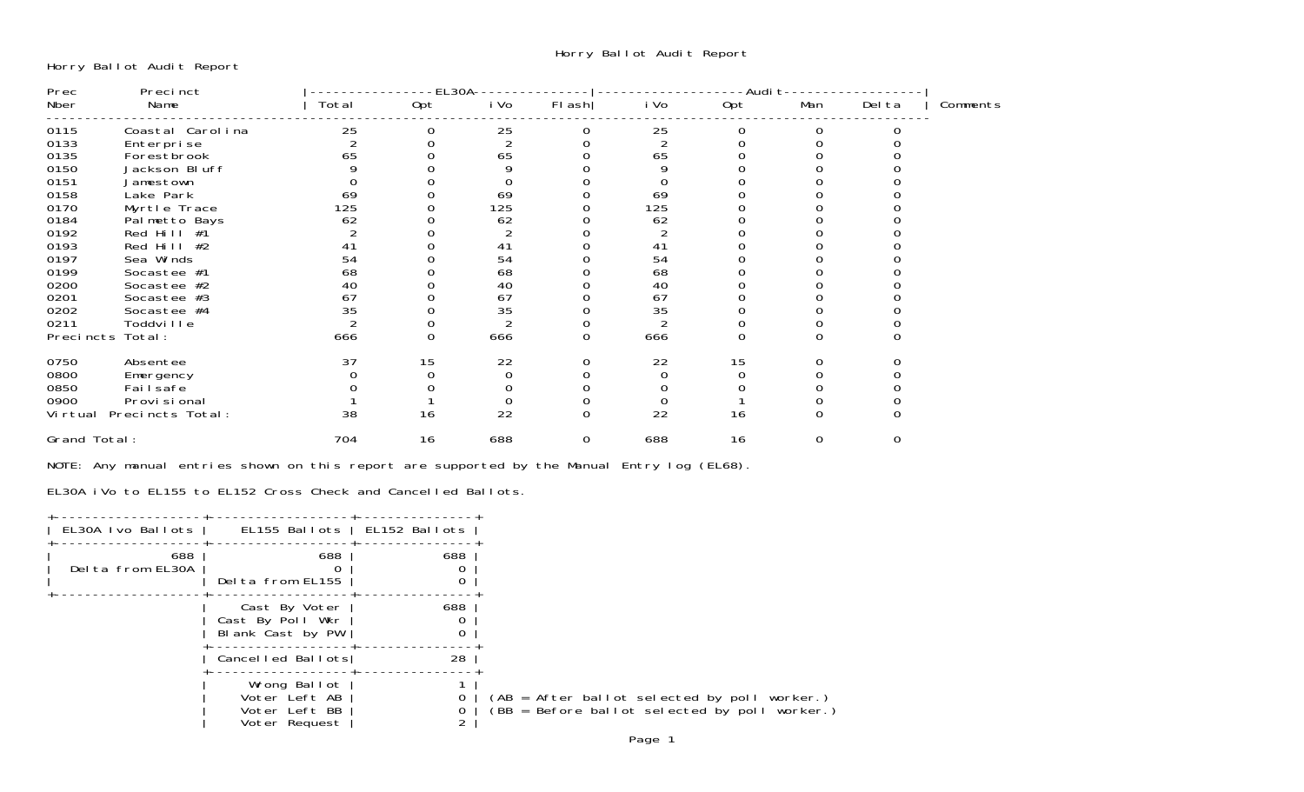Horry Ballot Audit Report

| Prec         | Precinct         |       | -EL3OA- |                |          |                | -Audi t |     |        |          |
|--------------|------------------|-------|---------|----------------|----------|----------------|---------|-----|--------|----------|
| Nber         | Name             | Total | Opt     | i Vo           | $FI$ ash | i Vo           | Opt     | Man | Del ta | Comments |
| 0115         | Coastal Carolina | 25    | 0       | 25             | 0        | 25             |         | 0   |        |          |
| 0133         | Enterprise       |       |         | $\overline{2}$ |          | $\overline{c}$ |         |     |        |          |
| 0135         | Forestbrook      | 65    |         | 65             |          | 65             |         |     |        |          |
| 0150         | Jackson Bluff    |       |         | 9              |          |                |         |     |        |          |
| 0151         | Jamestown        |       |         | 0              |          |                |         |     |        |          |
| 0158         | Lake Park        | 69    |         | 69             |          | 69             |         |     |        |          |
| 0170         | Myrtle Trace     | 125   |         | 125            |          | 125            |         |     |        |          |
| 0184         | Palmetto Bays    | 62    |         | 62             |          | 62             |         |     |        |          |
| 0192         | Red Hill #1      |       |         |                |          |                |         |     |        |          |
| 0193         | Red Hill $#2$    | 41    |         | 41             |          | 41             |         |     |        |          |
| 0197         | Sea Winds        | 54    |         | 54             |          | 54             |         |     |        |          |
| 0199         | Socastee #1      | 68    |         | 68             |          | 68             |         |     |        |          |
| 0200         | Socastee #2      | 40    |         | 40             |          | 40             |         |     |        |          |
| 0201         | Socastee #3      | 67    |         | 67             |          | 67             |         |     |        |          |
| 0202         | Socastee #4      | 35    |         | 35             |          | 35             |         |     |        |          |
| 0211         | Toddville        |       |         |                |          | 2              |         |     |        |          |
|              | Precincts Total: | 666   | 0       | 666            | 0        | 666            |         |     |        |          |
| 0750         | Absentee         | 37    | 15      | 22             |          | 22             | 15      |     |        |          |
| 0800         | Emergency        |       |         | $\overline{0}$ |          |                |         |     |        |          |
| 0850         | Fai I safe       |       |         |                |          |                |         |     |        |          |
| 0900         | Provi si onal    |       |         | 0              |          |                |         |     |        |          |
| Vi rtual     | Precincts Total: | 38    | 16      | 22             | $\Omega$ | 22             | 16      |     |        |          |
| Grand Total: |                  | 704   | 16      | 688            | 0        | 688            | 16      | 0   | 0      |          |
|              |                  |       |         |                |          |                |         |     |        |          |

NOTE: Any manual entries shown on this report are supported by the Manual Entry log (EL68).

EL30A iVo to EL155 to EL152 Cross Check and Cancelled Ballots.

| EL30A Ivo Ballots       | EL155 Ballots   EL152 Ballots                                   |     |
|-------------------------|-----------------------------------------------------------------|-----|
| 688<br>Delta from EL30A | 688<br>Delta from EL155                                         | 688 |
|                         | Cast By Voter<br>Cast By Poll Wkr<br>Blank Cast by PW           | 688 |
|                         | Cancelled Ballots                                               | 28  |
|                         | Wrong Ballot<br>Voter Left AB<br>Voter Left BB<br>Voter Request |     |
|                         |                                                                 |     |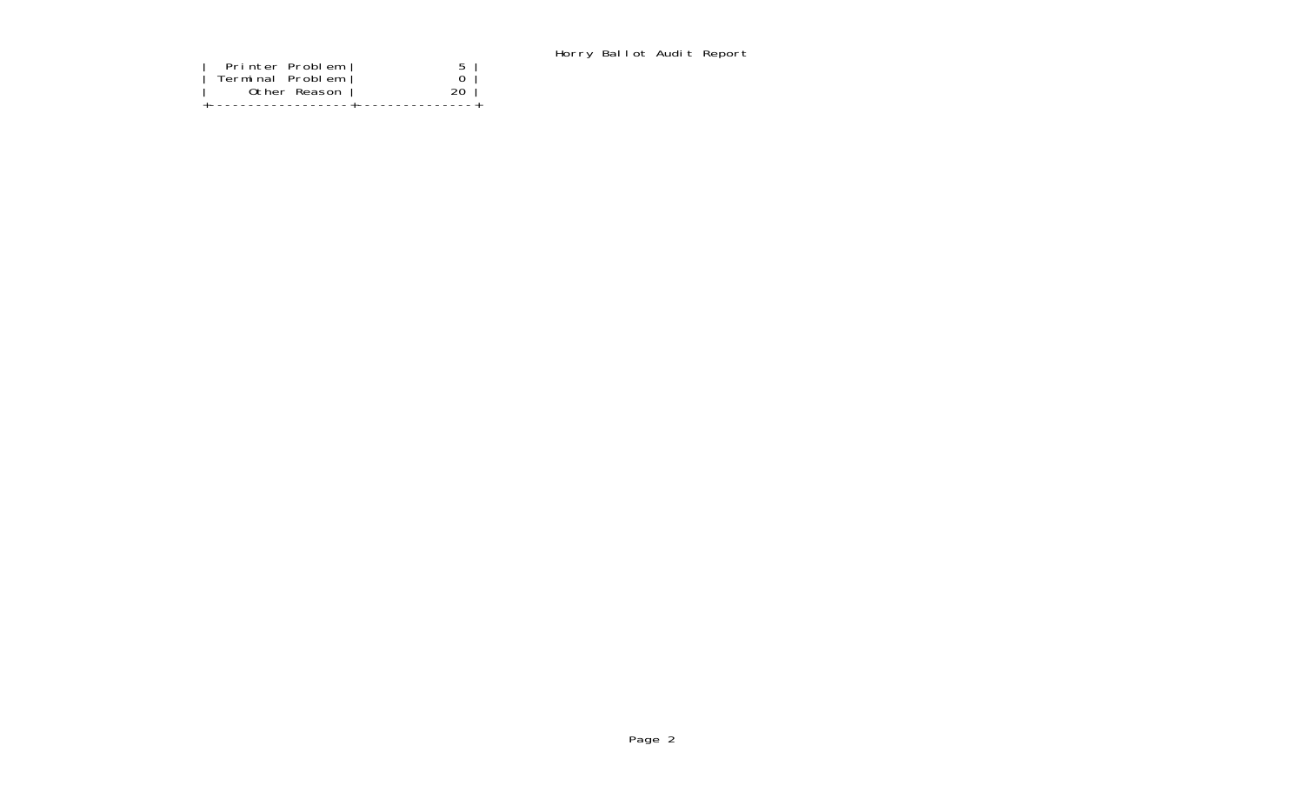Horry Ballot Audit Report

| Terminal Problem<br>Other Reason<br>---------------+---------------- |
|----------------------------------------------------------------------|
|----------------------------------------------------------------------|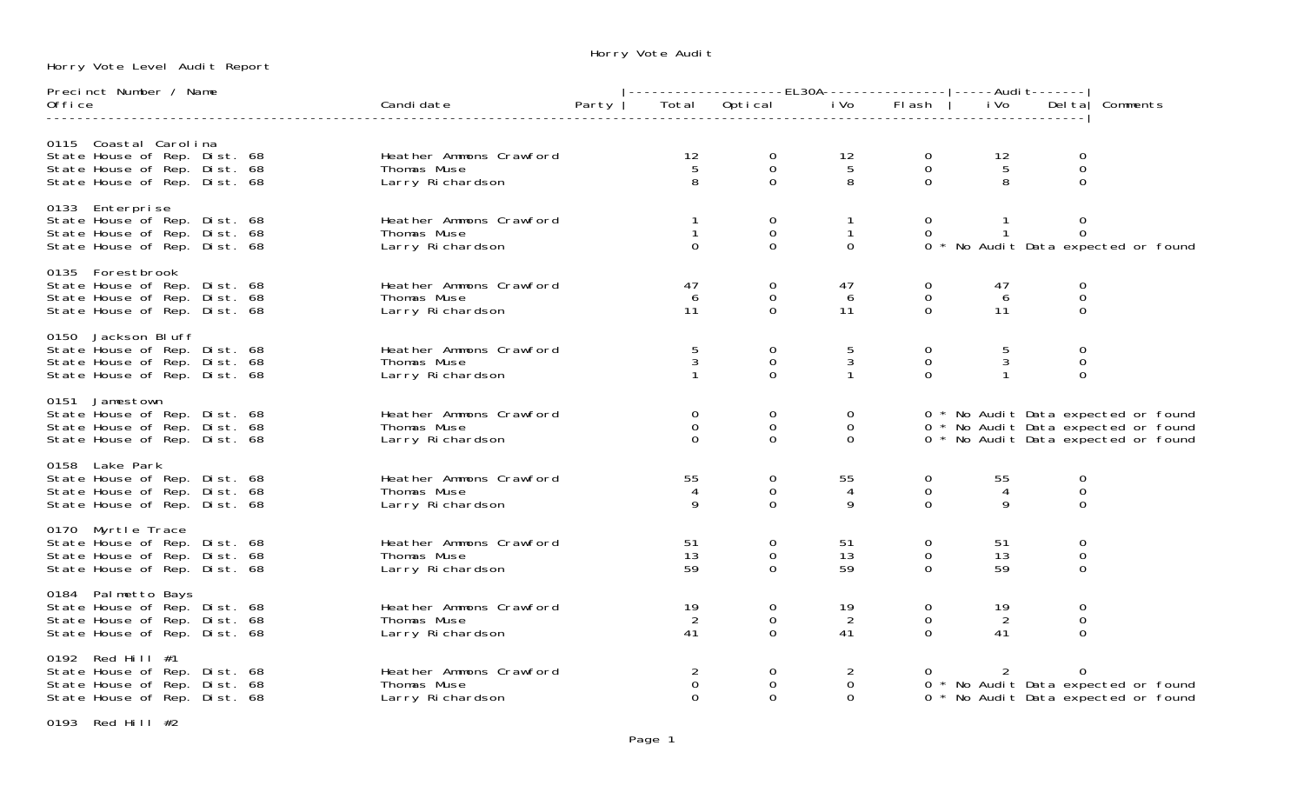Horry Vote Level Audit Report

Horry Vote Audit

| Precinct Number / Name                                                                                                |                                                            |       |                                            | -------------------EL30A---------------- -----Audit------- <br>  Total Optical iVo Flash   iVo Delta |                                      |                                              |                            |                                           |                                                                                                                   |  |
|-----------------------------------------------------------------------------------------------------------------------|------------------------------------------------------------|-------|--------------------------------------------|------------------------------------------------------------------------------------------------------|--------------------------------------|----------------------------------------------|----------------------------|-------------------------------------------|-------------------------------------------------------------------------------------------------------------------|--|
| 0ffi ce                                                                                                               | Candi date                                                 | Party |                                            |                                                                                                      |                                      |                                              |                            | iVo Delta Comments                        |                                                                                                                   |  |
| 0115 Coastal Carolina<br>State House of Rep. Dist. 68<br>State House of Rep. Dist. 68<br>State House of Rep. Dist. 68 | Heather Ammons Crawford<br>Thomas Muse<br>Larry Richardson |       | 12<br>$5\overline{)}$<br>8                 | $\overline{0}$<br>$\mathbf 0$<br>$\Omega$                                                            | 12<br>$5\phantom{.0}$<br>8           | $\Omega$<br>$\mathsf O$<br>$\Omega$          | 12<br>$5\phantom{.0}$<br>8 | $\Omega$<br>0<br>$\Omega$                 |                                                                                                                   |  |
| 0133 Enterprise<br>State House of Rep. Dist. 68<br>State House of Rep. Dist. 68<br>State House of Rep. Dist. 68       | Heather Ammons Crawford<br>Thomas Muse<br>Larry Richardson |       | $\mathbf{1}$<br>$\Omega$                   | $\mathbf 0$<br>$\mathbf 0$<br>$\Omega$                                                               | $\mathbf{1}$<br>$\Omega$             | $\overline{0}$<br>$\Omega$                   |                            | $\overline{0}$<br>$\mathbf{0}$            | 0 * No Audit Data expected or found                                                                               |  |
| 0135 Forestbrook<br>State House of Rep. Dist. 68<br>State House of Rep. Dist. 68<br>State House of Rep. Dist. 68      | Heather Ammons Crawford<br>Thomas Muse<br>Larry Richardson |       | 47<br>6<br>11                              | 0<br>$\mathbf 0$<br>$\Omega$                                                                         | 47<br>6<br>11                        | $\overline{0}$<br>$\overline{0}$<br>$\Omega$ | 47<br>6<br>11              | $\overline{0}$<br>$\mathbf 0$<br>$\Omega$ |                                                                                                                   |  |
| 0150 Jackson Bluff<br>State House of Rep. Dist. 68<br>State House of Rep. Dist. 68<br>State House of Rep. Dist. 68    | Heather Ammons Crawford<br>Thomas Muse<br>Larry Richardson |       | 5<br>3                                     | 0<br>0<br>$\Omega$                                                                                   | 5<br>$\mathbf{3}$<br>$\mathbf{1}$    | $\Omega$<br>$\mathbf 0$<br>$\Omega$          | 5<br>3<br>$\mathbf{1}$     | 0<br>0<br>$\Omega$                        |                                                                                                                   |  |
| 0151 Jamestown<br>State House of Rep. Dist. 68<br>State House of Rep. Dist. 68<br>State House of Rep. Dist. 68        | Heather Ammons Crawford<br>Thomas Muse<br>Larry Richardson |       | $\overline{0}$<br>$\mathbf{0}$<br>$\Omega$ | 0<br>$\mathbf 0$<br>$\overline{0}$                                                                   | $\Omega$<br>$\mathbf{O}$<br>$\Omega$ |                                              |                            |                                           | 0 * No Audit Data expected or found<br>0 * No Audit Data expected or found<br>0 * No Audit Data expected or found |  |
| 0158 Lake Park<br>State House of Rep. Dist. 68<br>State House of Rep. Dist. 68<br>State House of Rep. Dist. 68        | Heather Ammons Crawford<br>Thomas Muse<br>Larry Richardson |       | 55<br>$\overline{4}$<br>9                  | $\mathbf 0$<br>$\mathbf 0$<br>$\Omega$                                                               | 55<br>$\overline{4}$<br>9            | $\Omega$<br>$\mathbf 0$<br>$\Omega$          | 55<br>$\overline{4}$<br>9  | $\Omega$<br>$\mathbf 0$<br>$\Omega$       |                                                                                                                   |  |
| 0170 Myrtle Trace<br>State House of Rep. Dist. 68<br>State House of Rep. Dist. 68<br>State House of Rep. Dist. 68     | Heather Ammons Crawford<br>Thomas Muse<br>Larry Richardson |       | 51<br>13<br>59                             | $\mathbf 0$<br>$\mathbf 0$<br>$\Omega$                                                               | 51<br>13<br>59                       | $\mathbf 0$<br>$\mathbf 0$<br>$\Omega$       | 51<br>13<br>59             | 0<br>$\mathbf 0$<br>$\mathbf 0$           |                                                                                                                   |  |
| 0184 Palmetto Bays<br>State House of Rep. Dist. 68<br>State House of Rep. Dist. 68<br>State House of Rep. Dist. 68    | Heather Ammons Crawford<br>Thomas Muse<br>Larry Richardson |       | 19<br>2<br>41                              | 0<br>$\mathbf 0$<br>$\Omega$                                                                         | 19<br>2<br>41                        | $\overline{O}$<br>$\mathbf 0$<br>$\Omega$    | 19<br>$\overline{2}$<br>41 | 0<br>$\mathbf 0$<br>$\Omega$              |                                                                                                                   |  |
| 0192 Red Hill #1<br>State House of Rep. Dist. 68<br>State House of Rep. Dist. 68<br>State House of Rep. Dist. 68      | Heather Ammons Crawford<br>Thomas Muse<br>Larry Richardson |       | $\overline{2}$<br>$\mathbf 0$<br>$\Omega$  | 0<br>$\mathbf 0$<br>$\Omega$                                                                         | 2<br>$\mathbf 0$<br>$\Omega$         |                                              |                            | $\Omega$                                  | 0 * No Audit Data expected or found<br>0 * No Audit Data expected or found                                        |  |

0193 Red Hill #2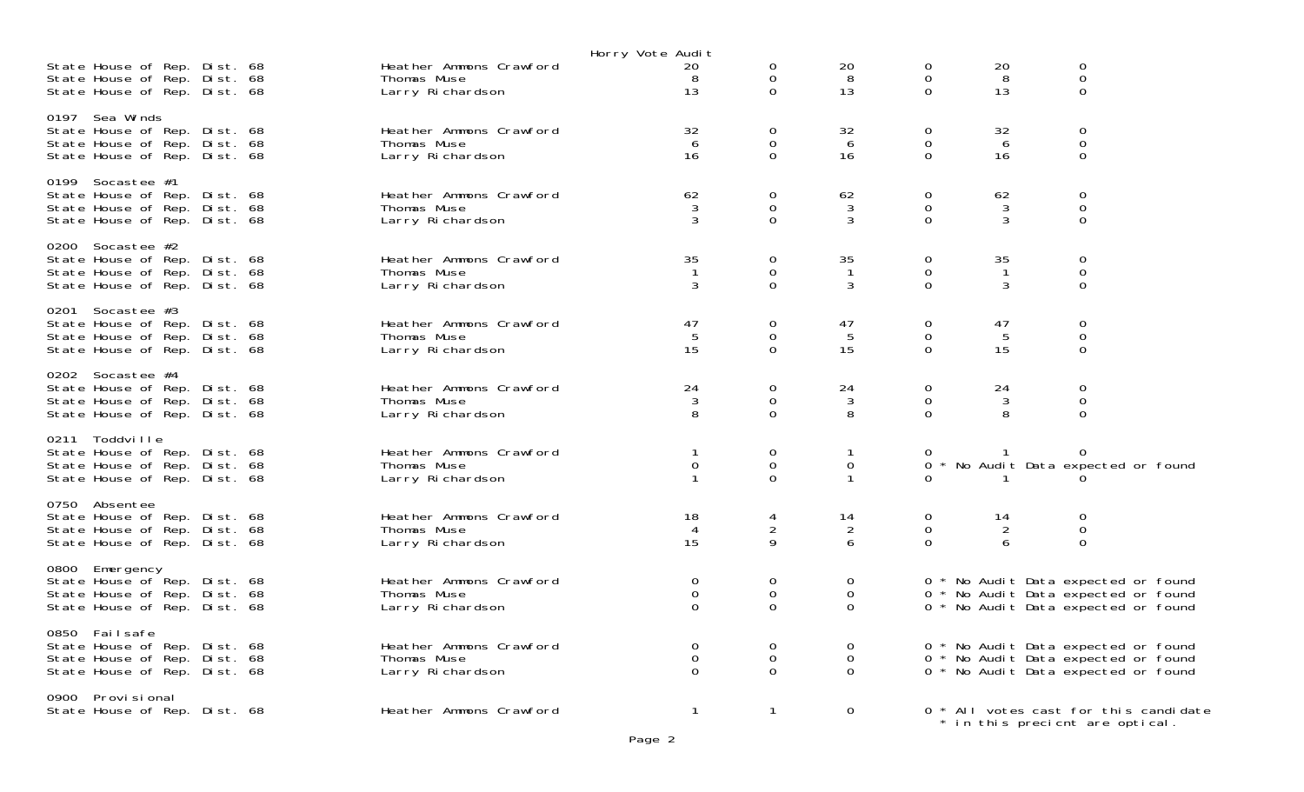| State House of Rep. Dist. 68<br>State House of Rep. Dist. 68                                                     | Heather Ammons Crawford<br>Thomas Muse                     | Horry Vote Audit<br>20<br>8  | 0<br>$\mathbf 0$                  | 20<br>8                              | 0<br>$\mathbf 0$                          | 20<br>8                   | 0<br>$\mathbf 0$                                                                                                  |
|------------------------------------------------------------------------------------------------------------------|------------------------------------------------------------|------------------------------|-----------------------------------|--------------------------------------|-------------------------------------------|---------------------------|-------------------------------------------------------------------------------------------------------------------|
| State House of Rep. Dist. 68<br>0197 Sea Winds<br>State House of Rep. Dist. 68                                   | Larry Richardson<br>Heather Ammons Crawford                | 13<br>32                     | $\Omega$<br>$\overline{O}$        | 13<br>32                             | $\Omega$<br>$\mathbf{0}$                  | 13<br>32                  | $\mathbf 0$<br>0                                                                                                  |
| State House of Rep. Dist. 68<br>State House of Rep. Dist. 68                                                     | Thomas Muse<br>Larry Richardson                            | 6<br>16                      | $\overline{0}$<br>$\Omega$        | 6<br>16                              | $\mathbf 0$<br>$\Omega$                   | 6<br>16                   | $\mathbf 0$<br>$\mathbf 0$                                                                                        |
| 0199 Socastee #1<br>State House of Rep. Dist. 68<br>State House of Rep. Dist. 68<br>State House of Rep. Dist. 68 | Heather Ammons Crawford<br>Thomas Muse<br>Larry Richardson | 62<br>3<br>3                 | 0<br>$\mathbf 0$<br>$\mathbf{0}$  | 62<br>3<br>3                         | $\mathbf{O}$<br>0<br>$\Omega$             | 62<br>3<br>3              | 0<br>$\mathbf 0$<br>$\mathbf 0$                                                                                   |
| 0200 Socastee #2<br>State House of Rep. Dist. 68<br>State House of Rep. Dist. 68<br>State House of Rep. Dist. 68 | Heather Ammons Crawford<br>Thomas Muse<br>Larry Richardson | 35<br>-1<br>3                | 0<br>$\mathbf 0$<br>$\Omega$      | 35<br>$\mathbf 1$<br>3               | $\mathbf{0}$<br>0<br>$\Omega$             | 35<br>$\overline{1}$<br>3 | 0<br>$\mathbf 0$<br>$\Omega$                                                                                      |
| 0201 Socastee #3<br>State House of Rep. Dist. 68<br>State House of Rep. Dist. 68<br>State House of Rep. Dist. 68 | Heather Ammons Crawford<br>Thomas Muse<br>Larry Richardson | 47<br>5<br>15                | 0<br>$\overline{0}$<br>$\Omega$   | 47<br>5<br>15                        | $\sigma$<br>$\mathbf 0$<br>$\Omega$       | 47<br>5<br>15             | 0<br>$\mathbf 0$<br>$\Omega$                                                                                      |
| 0202 Socastee #4<br>State House of Rep. Dist. 68<br>State House of Rep. Dist. 68<br>State House of Rep. Dist. 68 | Heather Ammons Crawford<br>Thomas Muse<br>Larry Richardson | 24<br>3<br>8                 | 0<br>$\Omega$<br>$\Omega$         | 24<br>3<br>8                         | $\overline{0}$<br>$\mathbf 0$<br>$\Omega$ | 24<br>3<br>8              | 0<br>$\mathbf 0$<br>$\Omega$                                                                                      |
| 0211 Toddville<br>State House of Rep. Dist. 68<br>State House of Rep. Dist. 68<br>State House of Rep. Dist. 68   | Heather Ammons Crawford<br>Thomas Muse<br>Larry Richardson | 0                            | 0<br>$\boldsymbol{0}$<br>$\Omega$ | 0                                    | 0                                         |                           | 0<br>* No Audit Data expected or found                                                                            |
| 0750 Absentee<br>State House of Rep. Dist. 68<br>State House of Rep. Dist. 68<br>State House of Rep. Dist. 68    | Heather Ammons Crawford<br>Thomas Muse<br>Larry Richardson | 18<br>4<br>15                | 4<br>$\overline{2}$<br>9          | 14<br>$\overline{2}$<br>6            | 0<br>$\overline{0}$<br>$\Omega$           | 14<br>2<br>6              | 0<br>$\mathbf 0$<br>$\mathbf 0$                                                                                   |
| 0800 Emergency<br>State House of Rep. Dist. 68<br>State House of Rep. Dist. 68<br>State House of Rep. Dist. 68   | Heather Ammons Crawford<br>Thomas Muse<br>Larry Richardson | 0<br>$\mathbf 0$<br>$\Omega$ | 0<br>$\mathbf 0$<br>0             | $\sigma$<br>$\mathbf{0}$<br>$\Omega$ |                                           |                           | 0 * No Audit Data expected or found<br>0 * No Audit Data expected or found<br>0 * No Audit Data expected or found |
| 0850 Failsafe<br>State House of Rep. Dist. 68<br>State House of Rep. Dist. 68<br>State House of Rep. Dist. 68    | Heather Ammons Crawford<br>Thomas Muse<br>Larry Richardson | 0<br>0<br>$\Omega$           | 0<br>0<br>$\Omega$                | 0<br>0<br>$\Omega$                   |                                           |                           | 0 * No Audit Data expected or found<br>0 * No Audit Data expected or found<br>0 * No Audit Data expected or found |
| 0900 Provi si onal<br>State House of Rep. Dist. 68                                                               | Heather Ammons Crawford                                    | $\mathbf{1}$                 | $\mathbf{1}$                      | $\mathbf{0}$                         |                                           |                           | 0 * All votes cast for this candidate<br>* in this precient are optical.                                          |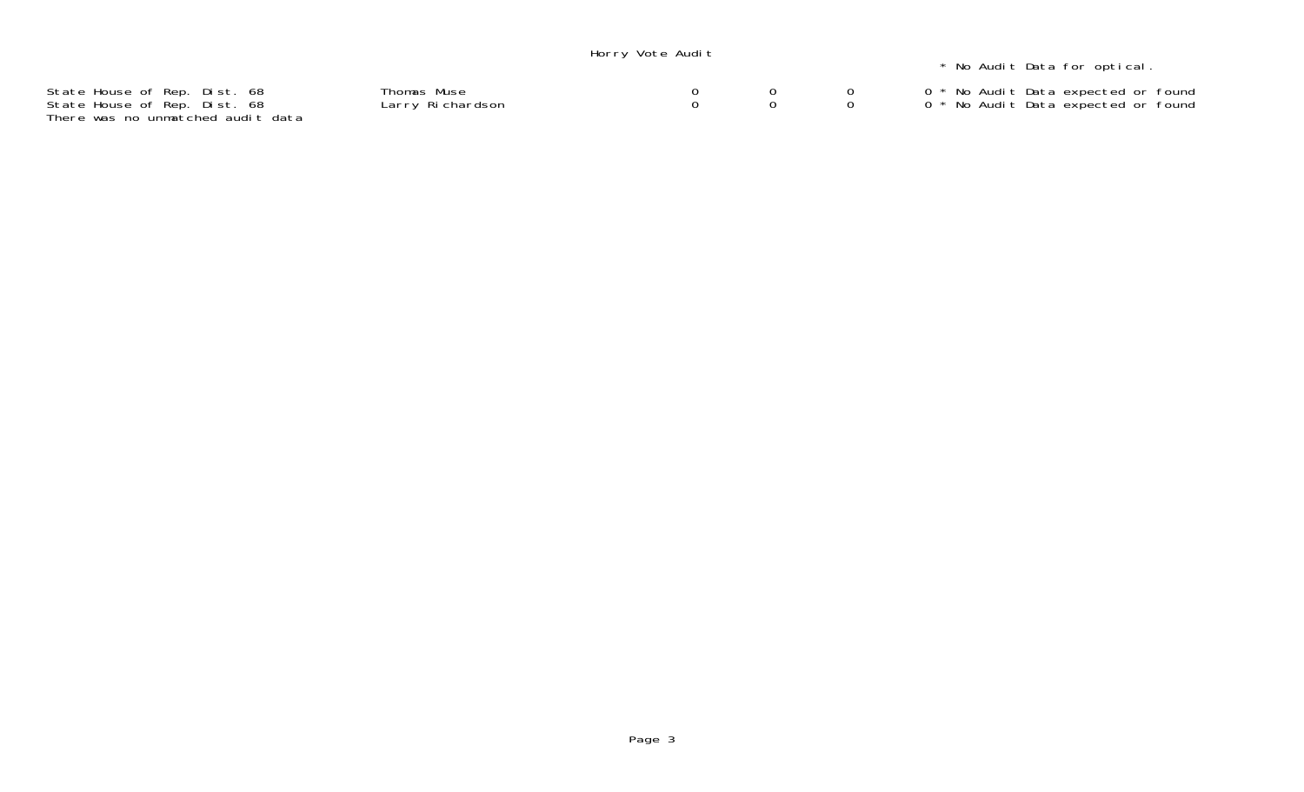|                                                                                                   |                                 | Horry Vote Audit |  | * No Audit Data for optical.                                               |
|---------------------------------------------------------------------------------------------------|---------------------------------|------------------|--|----------------------------------------------------------------------------|
| State House of Rep. Dist. 68<br>State House of Rep. Dist. 68<br>There was no unmatched audit data | Thomas Muse<br>Larry Richardson |                  |  | 0 * No Audit Data expected or found<br>0 * No Audit Data expected or found |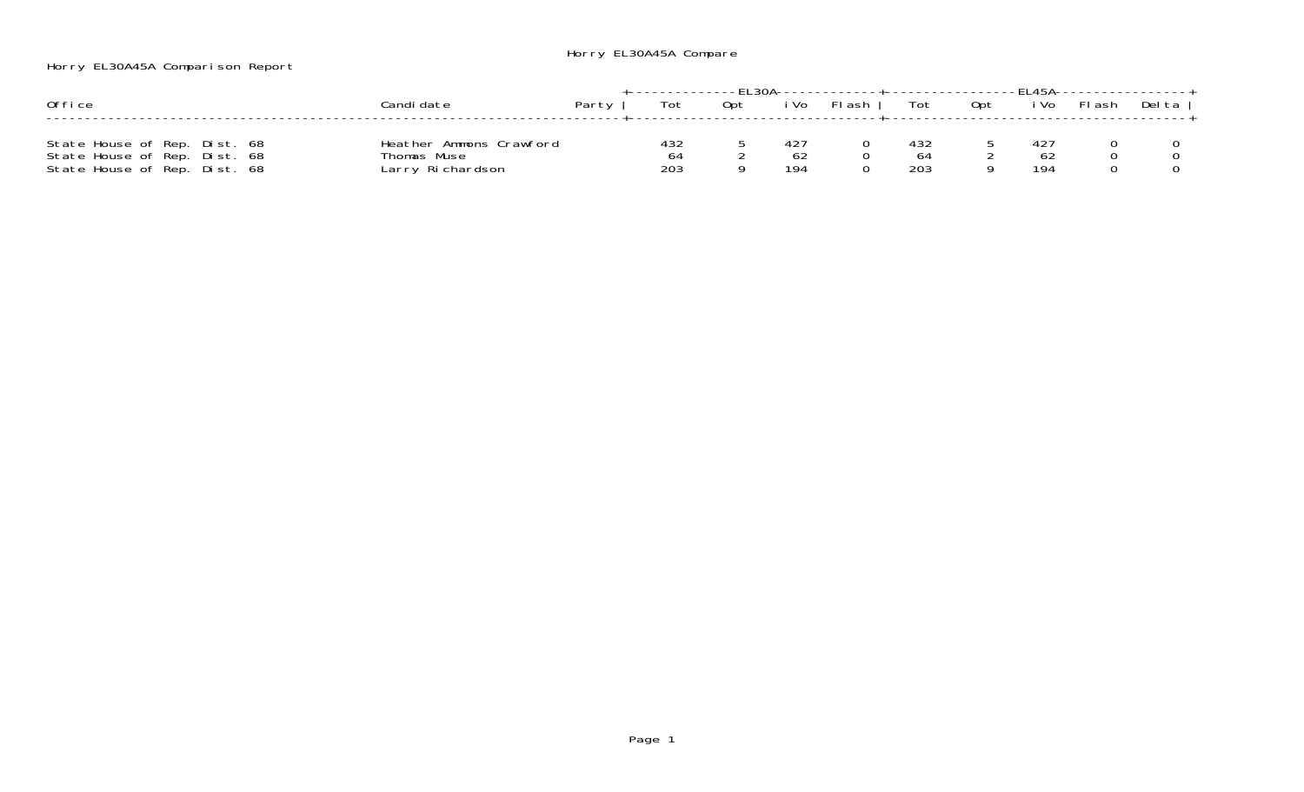## Horry EL30A45A Compare

Horry EL30A45A Comparison Report

|                              |                         |       |     |     |      |        |     |     | $F145A -$ |        |        |
|------------------------------|-------------------------|-------|-----|-----|------|--------|-----|-----|-----------|--------|--------|
| Office                       | ≿andi date              | Party | Tot | 0pt | i Vo | FI ash | Tot | 0pt | i Vo      | FI ash | Del ta |
|                              |                         |       |     |     |      |        |     |     |           |        |        |
| State House of Rep. Dist. 68 | Heather Ammons Crawford |       | 432 |     |      |        | 432 |     |           |        |        |
| State House of Rep. Dist. 68 | Thomas Muse             |       | 64  |     | 62   |        |     |     | bz        |        |        |
| State House of Rep. Dist. 68 | Larry Richardson        |       | 203 |     | 194  |        | 203 |     | 194       |        |        |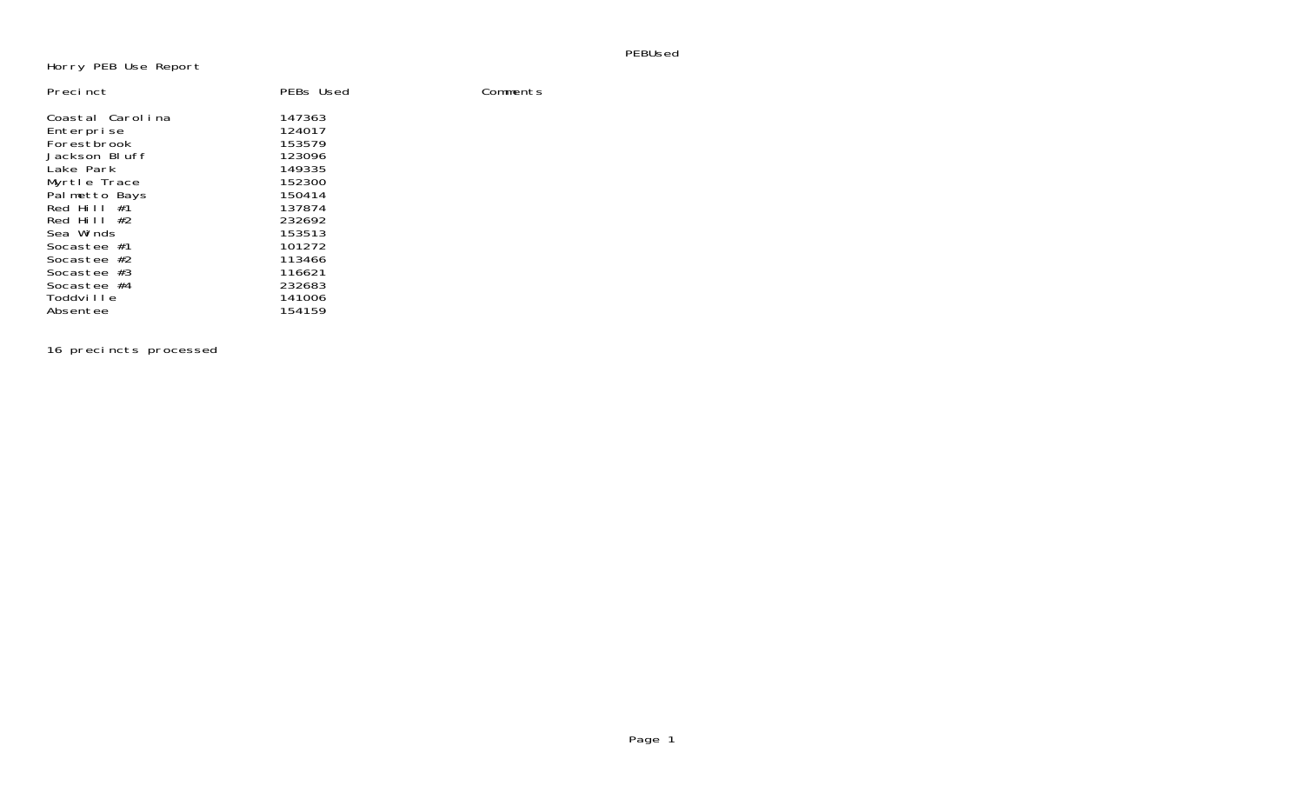PEBUsed

## Horry PEB Use Report

| Precinct                                                                                                                                                                                                                                   | PEBs Used                                                                                                                                          | Comments |
|--------------------------------------------------------------------------------------------------------------------------------------------------------------------------------------------------------------------------------------------|----------------------------------------------------------------------------------------------------------------------------------------------------|----------|
| Coastal Carolina<br>Enterprise<br>Forestbrook<br>Jackson Bluff<br>Lake Park<br>Myrtle Trace<br>Palmetto Bays<br>Red Hill $#1$<br>Red Hill $#2$<br>Sea Winds<br>Socastee #1<br>Socastee $#2$<br>Socastee $#3$<br>Socastee $#4$<br>Toddville | 147363<br>124017<br>153579<br>123096<br>149335<br>152300<br>150414<br>137874<br>232692<br>153513<br>101272<br>113466<br>116621<br>232683<br>141006 |          |
| Absentee                                                                                                                                                                                                                                   | 154159                                                                                                                                             |          |

16 precincts processed